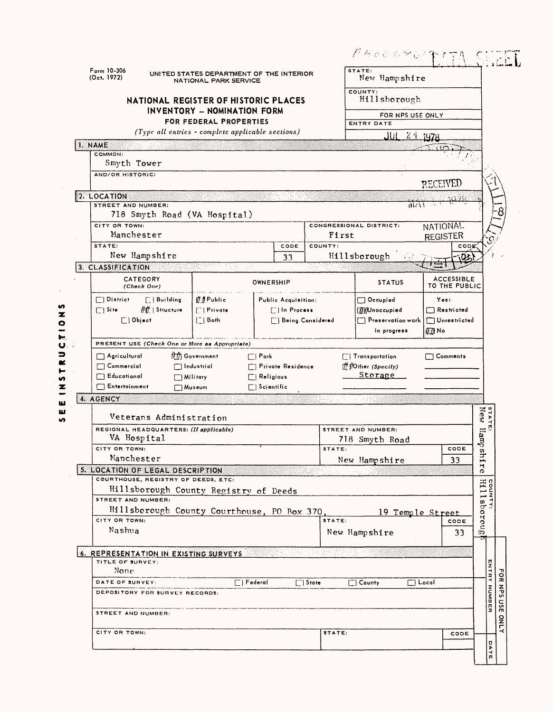|                                          |                                             |                                                                          |                                  |              | $\beta$ A a G G $\le$ G $^{\prime}$                    |                                    |
|------------------------------------------|---------------------------------------------|--------------------------------------------------------------------------|----------------------------------|--------------|--------------------------------------------------------|------------------------------------|
| Form 10-306<br>(Oct. 1972)               |                                             | UNITED STATES DEPARTMENT OF THE INTERIOR<br><b>NATIONAL PARK SERVICE</b> |                                  |              | STATE:<br>New Hampshire                                |                                    |
|                                          | NATIONAL REGISTER OF HISTORIC PLACES        |                                                                          |                                  |              | COUNTY:<br>Hillsborough                                |                                    |
|                                          |                                             | <b>INVENTORY - NOMINATION FORM</b><br>FOR FEDERAL PROPERTIES             |                                  |              | FOR NPS USE ONLY                                       |                                    |
|                                          |                                             | (Type all entries - complete applicable sections)                        |                                  |              | <b>ENTRY DATE</b>                                      |                                    |
| 1. NAME                                  |                                             |                                                                          |                                  |              | اناك                                                   | 211978                             |
| COMMON:<br>Smyth Tower                   |                                             |                                                                          |                                  |              |                                                        |                                    |
| AND/OR HISTORIC:                         |                                             |                                                                          |                                  |              |                                                        | <b>RECEIVED</b>                    |
| 2. LOCATION                              |                                             |                                                                          |                                  |              |                                                        |                                    |
| STREET AND NUMBER:                       | 718 Smyth Road (VA Hospital)                |                                                                          |                                  |              |                                                        | الأخلافه                           |
| CITY OR TOWN:                            |                                             |                                                                          |                                  |              | CONGRESSIONAL DISTRICT:                                | <b>NATIONAL</b>                    |
| STATE:                                   | Manchester                                  |                                                                          | CODE                             | COUNTY:      | First                                                  | <b>REGISTER</b><br>copj            |
|                                          | New Hampshire                               |                                                                          | 33                               |              | Hillsborough                                           |                                    |
| 3. CLASSIFICATION                        |                                             |                                                                          |                                  |              |                                                        |                                    |
|                                          | CATEGORY<br>(Check One)                     |                                                                          | OWNERSHIP                        |              | <b>STATUS</b>                                          | <b>ACCESSIBLE</b><br>TO THE PUBLIC |
| $\Box$ District                          | [ Building                                  | tt#Public                                                                | Public Acquisition:              |              | Occupied                                               | Yes:                               |
| $\Box$ Site                              | ## Structure                                | $\lceil \cdot \rceil$ Private                                            | [1] In Process                   |              | [#Whoccupied                                           | $\Box$ Restricted                  |
|                                          | $\Box$ ) Object                             | $\lfloor \frac{n}{2} \rfloor$ Both                                       | [ ] Being Considered             |              | Preservation work<br>in progress                       | $\Box$ Unrestricted<br><b>四</b> No |
|                                          |                                             |                                                                          |                                  |              |                                                        |                                    |
|                                          |                                             |                                                                          |                                  |              |                                                        |                                    |
|                                          |                                             | PRESENT USE (Check One or More as Appropriate)                           |                                  |              |                                                        |                                    |
| $\Box$ Agricultural<br>$\Box$ Commercial |                                             | t(拼) Government<br>$\Box$ Industrial                                     | $\Box$ Park<br>Private Residence |              | [7] Transportation<br>$\frac{dt}{dt}$ /Other (Specify) | $\Box$ Comments                    |
| $\Box$ Educational                       | $\Box$ Military                             |                                                                          | $\Box$ Religious                 |              | Storage                                                |                                    |
| $\Box$ Entertainment                     | $\Box$ Museum                               |                                                                          | $\Box$ Scientific                |              |                                                        |                                    |
| 4. AGENCY                                |                                             |                                                                          |                                  |              |                                                        |                                    |
|                                          | Veterans Administration                     |                                                                          |                                  |              |                                                        |                                    |
|                                          | REGIONAL HEADQUARTERS: (If applicable)      |                                                                          |                                  |              | STREET AND NUMBER:                                     |                                    |
| CITY OR TOWN:                            | VA Hospital                                 |                                                                          |                                  | STATE:       | 718 Smyth Road                                         | CODE                               |
|                                          | Manchester                                  |                                                                          |                                  |              |                                                        | 33                                 |
|                                          | 5. LOCATION OF LEGAL DESCRIPTION            |                                                                          |                                  |              | New Hampshire                                          |                                    |
|                                          | COURTHOUSE, REGISTRY OF DEEDS, ETC:         |                                                                          |                                  |              |                                                        |                                    |
|                                          | Hillsborough County Registry of Deeds       |                                                                          |                                  |              |                                                        |                                    |
|                                          | STREET AND NUMBER:                          |                                                                          |                                  |              |                                                        |                                    |
| CITY OR TOWN:                            | Hillsborough County Courthouse, PO Box 370, |                                                                          |                                  | STATE:       | 19 Temple Street                                       | CODE                               |
| Nashua                                   |                                             |                                                                          |                                  |              | New Hampshire                                          | 33                                 |
|                                          |                                             |                                                                          |                                  |              |                                                        |                                    |
| TITLE OF SURVEY:<br>None                 | 6. REPRESENTATION IN EXISTING SURVEYS       |                                                                          |                                  |              |                                                        |                                    |
| DATE OF SURVEY:                          |                                             |                                                                          | $\boxed{\Box}$ Federal           | $\Box$ State | $\Box$ County                                          | $\Box$ Local                       |
|                                          | DEPOSITORY FOR SURVEY RECORDS:              |                                                                          |                                  |              |                                                        |                                    |
| STREET AND NUMBER:                       |                                             |                                                                          |                                  |              |                                                        |                                    |
| CITY OR TOWN:                            |                                             |                                                                          |                                  | STATE:       |                                                        | CODE                               |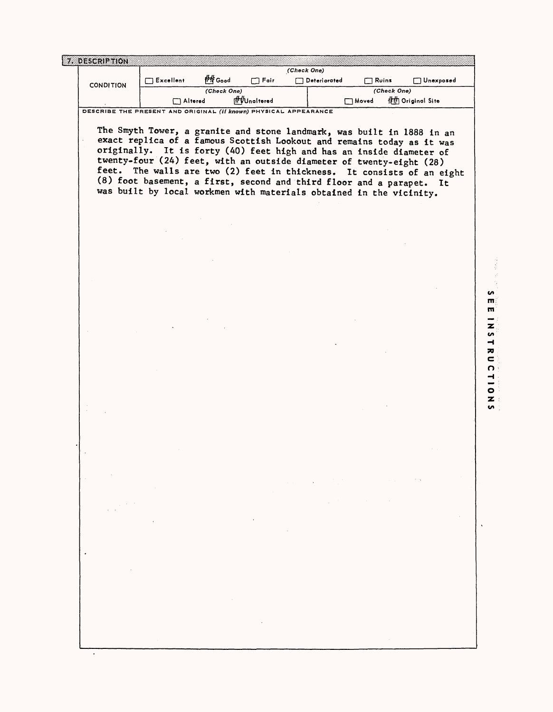| <b>CONDITION</b> | $\Box$ Excellent                                                                                                                                            | <u>∦#</u> Good                                                                          | $\Box$ Fair                       |                                                                                          | $\Box$ Deteriorated |                             | $\Box$ Ruins |                  | $\Box$ Unexposed |
|------------------|-------------------------------------------------------------------------------------------------------------------------------------------------------------|-----------------------------------------------------------------------------------------|-----------------------------------|------------------------------------------------------------------------------------------|---------------------|-----------------------------|--------------|------------------|------------------|
|                  |                                                                                                                                                             | (Check One)                                                                             | ft Wnoltered                      |                                                                                          |                     |                             | (Check One)  |                  |                  |
|                  | $\Box$ Altered<br>DESCRIBE THE PRESENT AND ORIGINAL (if known) PHYSICAL APPEARANCE                                                                          |                                                                                         |                                   |                                                                                          |                     | Moved                       |              | 11 Original Site |                  |
|                  |                                                                                                                                                             |                                                                                         |                                   |                                                                                          |                     |                             |              |                  |                  |
|                  | The Smyth Tower, a granite and stone landmark, was built in 1888 in an                                                                                      |                                                                                         |                                   |                                                                                          |                     |                             |              |                  |                  |
|                  | exact replica of a famous Scottish Lookout and remains today as it was                                                                                      |                                                                                         |                                   |                                                                                          |                     |                             |              |                  |                  |
|                  | originally. It is forty (40) feet high and has an inside diameter of                                                                                        |                                                                                         |                                   |                                                                                          |                     |                             |              |                  |                  |
| feet.            | twenty-four (24) feet, with an outside diameter of twenty-eight (28)                                                                                        |                                                                                         |                                   |                                                                                          |                     |                             |              |                  |                  |
|                  | The walls are two (2) feet in thickness. It consists of an eight<br>(8) foot basement, a first, second and third floor and a parapet. It                    |                                                                                         |                                   |                                                                                          |                     |                             |              |                  |                  |
|                  | was built by local workmen with materials obtained in the vicinity.                                                                                         |                                                                                         |                                   |                                                                                          |                     |                             |              |                  |                  |
|                  |                                                                                                                                                             |                                                                                         |                                   |                                                                                          |                     |                             |              |                  |                  |
|                  |                                                                                                                                                             |                                                                                         |                                   |                                                                                          |                     |                             |              |                  |                  |
|                  |                                                                                                                                                             |                                                                                         |                                   |                                                                                          |                     |                             |              |                  |                  |
|                  |                                                                                                                                                             |                                                                                         |                                   |                                                                                          |                     |                             |              |                  |                  |
|                  |                                                                                                                                                             |                                                                                         |                                   |                                                                                          |                     |                             |              |                  |                  |
|                  |                                                                                                                                                             |                                                                                         |                                   |                                                                                          |                     |                             |              |                  |                  |
|                  |                                                                                                                                                             |                                                                                         |                                   |                                                                                          |                     |                             |              |                  |                  |
|                  |                                                                                                                                                             |                                                                                         |                                   |                                                                                          |                     |                             |              |                  |                  |
|                  |                                                                                                                                                             |                                                                                         |                                   |                                                                                          |                     |                             |              |                  |                  |
|                  |                                                                                                                                                             |                                                                                         |                                   |                                                                                          |                     |                             |              |                  |                  |
|                  |                                                                                                                                                             |                                                                                         |                                   |                                                                                          |                     |                             |              |                  |                  |
|                  |                                                                                                                                                             |                                                                                         |                                   |                                                                                          |                     |                             |              |                  |                  |
|                  |                                                                                                                                                             |                                                                                         |                                   |                                                                                          |                     |                             |              |                  |                  |
|                  |                                                                                                                                                             |                                                                                         |                                   |                                                                                          |                     |                             |              |                  |                  |
|                  |                                                                                                                                                             |                                                                                         |                                   |                                                                                          |                     |                             |              |                  |                  |
|                  |                                                                                                                                                             |                                                                                         |                                   |                                                                                          |                     |                             |              |                  |                  |
|                  |                                                                                                                                                             |                                                                                         |                                   |                                                                                          |                     |                             |              |                  |                  |
|                  |                                                                                                                                                             |                                                                                         |                                   |                                                                                          |                     |                             |              |                  |                  |
|                  |                                                                                                                                                             |                                                                                         |                                   |                                                                                          |                     |                             |              |                  |                  |
|                  |                                                                                                                                                             |                                                                                         |                                   |                                                                                          |                     |                             |              |                  |                  |
|                  |                                                                                                                                                             |                                                                                         |                                   |                                                                                          |                     |                             |              |                  |                  |
|                  |                                                                                                                                                             |                                                                                         |                                   |                                                                                          |                     |                             |              |                  |                  |
|                  |                                                                                                                                                             |                                                                                         |                                   |                                                                                          |                     |                             |              |                  |                  |
|                  | $\mathcal{L}_{\mathcal{A}}$ and $\mathcal{L}_{\mathcal{A}}$ and $\mathcal{L}_{\mathcal{A}}$ and $\mathcal{L}_{\mathcal{A}}$                                 |                                                                                         |                                   | $\mathcal{L}(\mathcal{A})$ and $\mathcal{L}(\mathcal{A})$ and $\mathcal{A}(\mathcal{A})$ |                     |                             |              | <b>CALL</b>      |                  |
|                  |                                                                                                                                                             |                                                                                         |                                   |                                                                                          |                     | $\sim 10^{10}$ km s $^{-1}$ |              |                  |                  |
|                  |                                                                                                                                                             |                                                                                         |                                   |                                                                                          |                     |                             |              |                  |                  |
|                  | $\mathcal{L}^{\mathcal{L}}$ and $\mathcal{L}^{\mathcal{L}}$ and $\mathcal{L}^{\mathcal{L}}$ and $\mathcal{L}^{\mathcal{L}}$ and $\mathcal{L}^{\mathcal{L}}$ |                                                                                         | the control of the control of the |                                                                                          |                     |                             |              |                  |                  |
|                  |                                                                                                                                                             |                                                                                         |                                   | $\mathcal{O}(\mathcal{O}(n^2))$ . The set of $\mathcal{O}(\mathcal{O}(n^2))$             |                     |                             |              |                  |                  |
|                  |                                                                                                                                                             |                                                                                         |                                   |                                                                                          |                     |                             |              |                  |                  |
|                  |                                                                                                                                                             |                                                                                         |                                   |                                                                                          |                     |                             |              |                  |                  |
|                  |                                                                                                                                                             |                                                                                         |                                   |                                                                                          |                     |                             |              |                  |                  |
|                  |                                                                                                                                                             |                                                                                         |                                   |                                                                                          |                     |                             |              |                  |                  |
|                  |                                                                                                                                                             |                                                                                         |                                   |                                                                                          |                     |                             |              |                  |                  |
|                  |                                                                                                                                                             | $\mathcal{L}^{\text{max}}_{\text{max}}$ , where $\mathcal{L}^{\text{max}}_{\text{max}}$ |                                   |                                                                                          |                     |                             |              |                  |                  |
|                  |                                                                                                                                                             |                                                                                         | and the control of the con-       |                                                                                          |                     |                             |              |                  |                  |
|                  |                                                                                                                                                             |                                                                                         |                                   |                                                                                          |                     |                             |              |                  |                  |
|                  |                                                                                                                                                             |                                                                                         |                                   |                                                                                          |                     |                             |              |                  |                  |

 $\blacksquare$ m

医感觉器

n  $\overline{\phantom{0}}$ O Z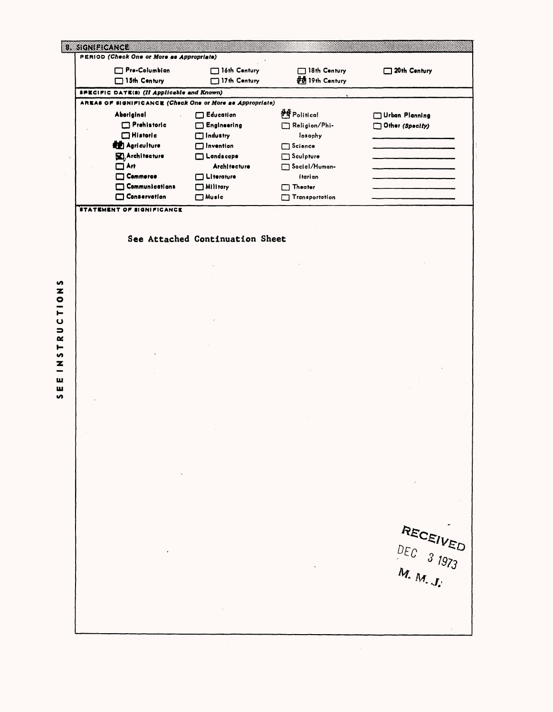| Pro-Columbian                                                                                                                                          | 16th Century                                                                             | 18th Century                                                                          | 20th Century                        |
|--------------------------------------------------------------------------------------------------------------------------------------------------------|------------------------------------------------------------------------------------------|---------------------------------------------------------------------------------------|-------------------------------------|
| 15th Century                                                                                                                                           | 17th Century                                                                             | # 19th Century                                                                        |                                     |
| <b>SPECIFIC DATE(S) (If Applicable and Known)</b>                                                                                                      |                                                                                          |                                                                                       |                                     |
| AREAS OF SIGNIFICANCE (Check One or More as Appropriate)<br>Aboriginal<br>Prehistoric<br>$\Box$ Historic<br><b>ALL</b> Agriculture<br>XI, Architecture | $\Box$ Education<br>Engineering<br>г<br>Industry<br>$\Box$ Invention<br>$\Box$ Landscape | <b>HE</b> Political<br>Religion/Phi-<br>losophy<br>$\Box$ Science<br>$\Box$ Sculpture | Urban Planning<br>Other (Specify)   |
| $\square$ Art<br>Commerce<br>Communications<br>□<br>Conservation                                                                                       | <b>Architecture</b><br>Literature<br>Military<br>$\Box$ Music                            | Social/Human-<br>itarian<br>$\Box$ Theater<br>Transportation                          |                                     |
| <b>STATEMENT OF SIGNIFICANCE</b>                                                                                                                       |                                                                                          |                                                                                       |                                     |
|                                                                                                                                                        | See Attached Continuation Sheet                                                          |                                                                                       |                                     |
|                                                                                                                                                        |                                                                                          |                                                                                       |                                     |
|                                                                                                                                                        |                                                                                          |                                                                                       |                                     |
|                                                                                                                                                        |                                                                                          |                                                                                       |                                     |
|                                                                                                                                                        |                                                                                          |                                                                                       |                                     |
|                                                                                                                                                        |                                                                                          |                                                                                       |                                     |
|                                                                                                                                                        |                                                                                          |                                                                                       |                                     |
|                                                                                                                                                        |                                                                                          |                                                                                       |                                     |
|                                                                                                                                                        |                                                                                          |                                                                                       |                                     |
|                                                                                                                                                        |                                                                                          |                                                                                       |                                     |
|                                                                                                                                                        |                                                                                          |                                                                                       |                                     |
|                                                                                                                                                        |                                                                                          |                                                                                       |                                     |
|                                                                                                                                                        |                                                                                          |                                                                                       |                                     |
|                                                                                                                                                        |                                                                                          |                                                                                       |                                     |
|                                                                                                                                                        |                                                                                          |                                                                                       |                                     |
|                                                                                                                                                        |                                                                                          |                                                                                       |                                     |
|                                                                                                                                                        |                                                                                          |                                                                                       |                                     |
|                                                                                                                                                        |                                                                                          |                                                                                       |                                     |
|                                                                                                                                                        |                                                                                          |                                                                                       |                                     |
|                                                                                                                                                        |                                                                                          |                                                                                       | RECEIVED                            |
|                                                                                                                                                        |                                                                                          |                                                                                       | $DEC$ 3 1973                        |
|                                                                                                                                                        |                                                                                          |                                                                                       | $M_{\rm t}$ $M_{\rm t}$ $J_{\rm t}$ |
|                                                                                                                                                        |                                                                                          |                                                                                       |                                     |
|                                                                                                                                                        |                                                                                          |                                                                                       |                                     |
|                                                                                                                                                        |                                                                                          |                                                                                       |                                     |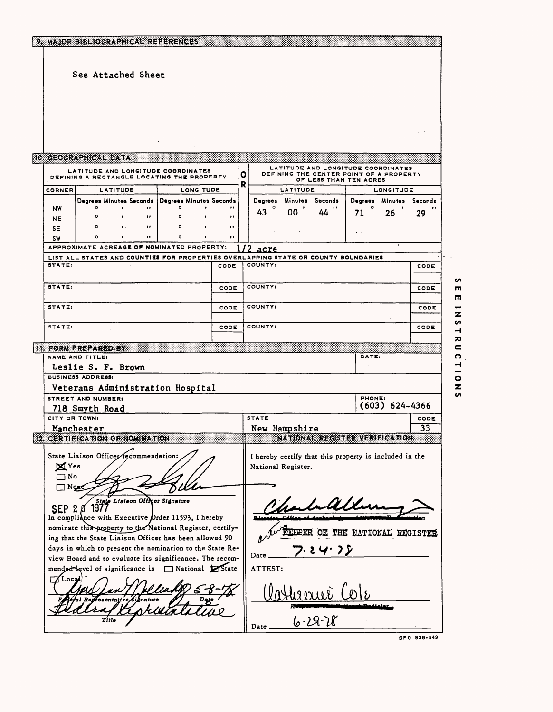|                             |                                             | See Attached Sheet                                                                                         |                    |                           |             |              |         |                         |                                                                                                         |                              |                    |                 |
|-----------------------------|---------------------------------------------|------------------------------------------------------------------------------------------------------------|--------------------|---------------------------|-------------|--------------|---------|-------------------------|---------------------------------------------------------------------------------------------------------|------------------------------|--------------------|-----------------|
|                             |                                             |                                                                                                            |                    |                           |             |              |         |                         |                                                                                                         |                              |                    |                 |
|                             |                                             |                                                                                                            |                    |                           |             |              |         |                         |                                                                                                         |                              |                    |                 |
|                             | <b>10 GEOGRAPHICAL DATA</b>                 |                                                                                                            |                    |                           |             |              |         |                         |                                                                                                         |                              |                    |                 |
|                             |                                             | LATITUDE AND LONGITUDE COORDINATES<br>DEFINING A RECTANGLE LOCATING THE PROPERTY                           |                    |                           |             | 0            |         |                         | LATITUDE AND LONGITUDE COORDINATES<br>DEFINING THE CENTER POINT OF A PROPERTY<br>OF LESS THAN TEN ACRES |                              |                    |                 |
| CORNER                      |                                             | LATITUDE                                                                                                   |                    | LONGITUDE                 |             | R            |         | LATITUDE                |                                                                                                         |                              | LONGITUDE          |                 |
|                             |                                             | Degrees Minutes Seconds   Degrees Minutes Seconds                                                          |                    |                           |             |              |         | Degrees Minutes Seconds |                                                                                                         | Degrees                      |                    | Minutes Seconds |
| NW<br>NE.                   | $\circ$<br>$\Omega$                         | $\bullet$<br>$\mathbf{H}$<br>$\bullet$                                                                     | $\circ$<br>$\circ$ | $\bullet$<br>$\mathbf{r}$ | $\cdot$<br> |              | 43      | 00                      | 44                                                                                                      | $\bullet$<br>71              | 26                 | 29              |
| <b>SE</b>                   | $\circ$                                     | $\bullet$ .<br>$\bullet$                                                                                   | $\circ$            |                           | $\bullet$   |              |         |                         |                                                                                                         |                              |                    |                 |
| <b>SW</b>                   | o                                           | $\bullet$<br>$\bullet$                                                                                     | $\bullet$          | $\bullet$                 | $\bullet$   |              |         |                         |                                                                                                         | $\bullet$ .<br><br>$\bullet$ |                    |                 |
|                             |                                             | APPROXIMATE ACREAGE OF NOMINATED PROPERTY:                                                                 |                    |                           |             | 172          | acre    |                         |                                                                                                         |                              |                    |                 |
| STATE:                      |                                             | LIST ALL STATES AND COUNTIES FOR PROPERTIES OVERLAPPING STATE OR COUNTY BOUNDARIES                         |                    |                           | CODE        |              | COUNTY: |                         |                                                                                                         |                              |                    | CODE            |
|                             |                                             |                                                                                                            |                    |                           |             |              |         |                         |                                                                                                         |                              |                    |                 |
| STATE:                      |                                             |                                                                                                            |                    |                           | CODE        |              | COUNTY: |                         |                                                                                                         |                              |                    | CODE            |
| STATE:                      |                                             |                                                                                                            |                    |                           | CODE        |              | COUNTY: |                         |                                                                                                         |                              |                    | CODE            |
| <b>STATE:</b>               |                                             |                                                                                                            |                    |                           | CODE        | COUNTY:      |         |                         |                                                                                                         |                              |                    | CODE            |
|                             |                                             |                                                                                                            |                    |                           |             |              |         |                         |                                                                                                         |                              |                    |                 |
|                             | 11. FORM PREPARED BY<br>NAME AND TITLE:     |                                                                                                            |                    |                           |             |              |         |                         |                                                                                                         | DATE:                        |                    |                 |
|                             | Leslie S. F. Brown                          |                                                                                                            |                    |                           |             |              |         |                         |                                                                                                         |                              |                    |                 |
|                             | <b>BUSINESS ADDRESS:</b>                    |                                                                                                            |                    |                           |             |              |         |                         |                                                                                                         |                              |                    |                 |
|                             |                                             | Veterans Administration Hospital                                                                           |                    |                           |             |              |         |                         |                                                                                                         |                              |                    |                 |
|                             | <b>STREET AND NUMBER:</b><br>718 Smyth Road |                                                                                                            |                    |                           |             |              |         |                         |                                                                                                         | PHONE:                       | $(603) 624 - 4366$ |                 |
| CITY OR TOWN!               |                                             |                                                                                                            |                    |                           |             | <b>STATE</b> |         |                         |                                                                                                         |                              |                    | CODE            |
|                             | Manchester                                  |                                                                                                            |                    |                           |             |              |         | New Hampshire           |                                                                                                         |                              |                    | $\overline{33}$ |
|                             |                                             | 12 CERTIFICATION OF NOMINATION                                                                             |                    |                           |             |              |         |                         | WILDER ECET EXPRESS TON                                                                                 |                              |                    |                 |
|                             |                                             |                                                                                                            |                    |                           |             |              |         |                         |                                                                                                         |                              |                    |                 |
|                             |                                             |                                                                                                            |                    |                           |             |              |         | National Register.      | I hereby certify that this property is included in the                                                  |                              |                    |                 |
|                             | State Liaison Officer recommendation:       |                                                                                                            |                    |                           |             |              |         |                         |                                                                                                         |                              |                    |                 |
| $\mathbf{X}$ Yes            |                                             |                                                                                                            |                    |                           |             |              |         |                         |                                                                                                         |                              |                    |                 |
| $\square$ No<br>$\Box$ Noge |                                             |                                                                                                            |                    |                           |             |              |         |                         |                                                                                                         |                              |                    |                 |
|                             |                                             |                                                                                                            |                    |                           |             |              |         |                         |                                                                                                         |                              |                    |                 |
|                             |                                             | SEP 2 8 1977                                                                                               |                    |                           |             |              |         |                         |                                                                                                         |                              |                    |                 |
|                             |                                             | In compliance with Executive Order 11593, I hereby                                                         |                    |                           |             |              |         |                         |                                                                                                         |                              |                    |                 |
|                             |                                             | nominate this property to the National Register, certify-                                                  |                    |                           |             |              |         |                         | KEERER OE THE NATIONAL REGISTER                                                                         |                              |                    |                 |
|                             |                                             | ing that the State Liaison Officer has been allowed 90                                                     |                    |                           |             |              |         |                         |                                                                                                         |                              |                    |                 |
|                             |                                             | days in which to present the nomination to the State Re-                                                   |                    |                           |             | Date         |         |                         | 24.75                                                                                                   |                              |                    |                 |
|                             |                                             | view Board and to evaluate its significance. The recom-<br>mended devel of significance is Stational State |                    |                           |             |              | ATTEST: |                         |                                                                                                         |                              |                    |                 |
| 7 Loca                      |                                             |                                                                                                            |                    |                           |             |              |         |                         |                                                                                                         |                              |                    |                 |
|                             |                                             |                                                                                                            |                    |                           |             |              |         |                         |                                                                                                         |                              |                    |                 |
|                             |                                             | i ve ∕Si∆na ture                                                                                           |                    |                           |             |              |         |                         |                                                                                                         |                              |                    |                 |
|                             | Title                                       |                                                                                                            |                    |                           |             |              |         |                         | 6-29-28                                                                                                 |                              |                    |                 |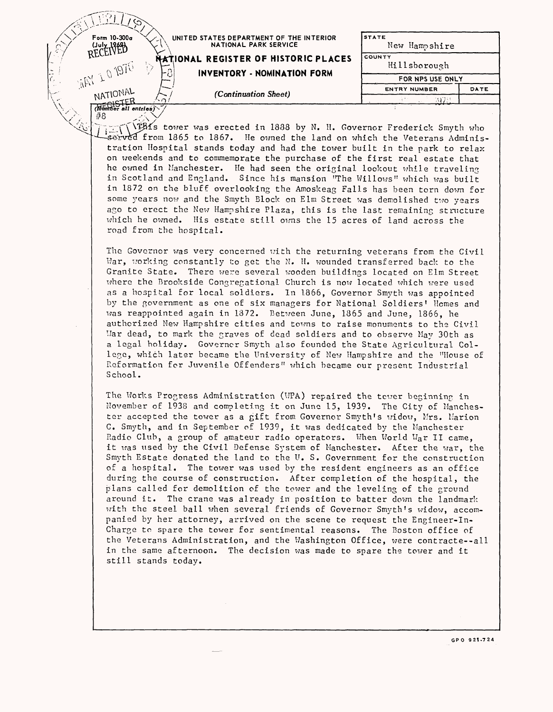| ю                                 |      |                                                                   |                               |      |  |
|-----------------------------------|------|-------------------------------------------------------------------|-------------------------------|------|--|
| Form 10-300a<br>RECEIVER          |      | UNITED STATES DEPARTMENT OF THE INTERIOR<br>NATIONAL PARK SERVICE | <b>STATE</b><br>New Hampshire |      |  |
|                                   |      | NATIONAL REGISTER OF HISTORIC PLACES                              | COUNTY<br>Hillsborough        |      |  |
| L.                                | ।- ଥ | <b>INVENTORY - NOMINATION FORM</b>                                | FOR NPS USE ONLY              |      |  |
|                                   |      | (Continuation Sheet)                                              | <b>ENTRY NUMBER</b>           | DATE |  |
| $\frac{NATIONAL}{REDISTER}$<br>#8 |      |                                                                   | AV 733                        |      |  |

Times tower was erected in 1888 by N. H. Governor Frederick Smyth who sorved from 1865 to 1867. He owned the land on which the Veterans Administration Hospital stands today and had the tower built in the park to relax on weekends and to commemorate the purchase of the first real estate that he owned in Manchester. He had seen the original lookout while traveling in Scotland and England. Since his mansion "The Willows" which was built in 1872 on the bluff overlooking the Amoskeag Falls has been torn down for some years now and the Smyth Block on Elm Street was demolished two years ago to erect the New Hampshire Plaza, this is the last remaining structure which he owned. His estate still owns the 15 acres of land across the road from the hospital.

The Governor was very concerned with the returning veterans from the Civil War, working constantly to get the N. H. wounded transferred back to the Granite State. There were several wooden buildings located on Elm Street where the Brookside Congregational Church is now located which were used as a hospital for local soldiers. In 1866, Governor Smyth was appointed by the government as one of six managers for National Soldiers' Homes and was reappointed again in 1372. Between June, 1865 and June, 1865, he authorised New Hampshire cities and towns to raise monuments to the Civil War dead, to mark the graves of dead soldiers and to observe May 30th as a legal holiday. Governor Smyth also founded the State Agricultural College, which later became the University of New Hampshire and the "House of Reformation for Juvenile Offenders" which became our present Industrial School.

The Works Progress Administration (WPA) repaired the tcwer beginning in November of 1938 and completing it on June 15, 1939. The City of Manchester accepted the tower as a gift from Governor Smyth's widow, Mrs. Marion C. Smyth, and in September of 1939, it was dedicated by the Manchester Radio Club, a group of amateur radio operators. When World War II came, it was used by the Civil Defense System of Manchester. After the war, the Smyth Estate donated the land to the U. S. Government for the construction of a hospital. The tower was used by the resident engineers as an office during the course of construction. After completion of the hospital, the plans called for demolition of the tower and the leveling of the ground around it. The crane was already in position to batter down the landmark with the steel ball when several friends of Governor Smyth's widow, accompanied by her attorney, arrived on the scene to request the Engineer-In-Charge to spare the tower for sentimental reasons. The Boston office of the Veterans Administration, and the Washington Office, were contracte--all in the same afternoon. The decision was made to spare the tower and it still stands today.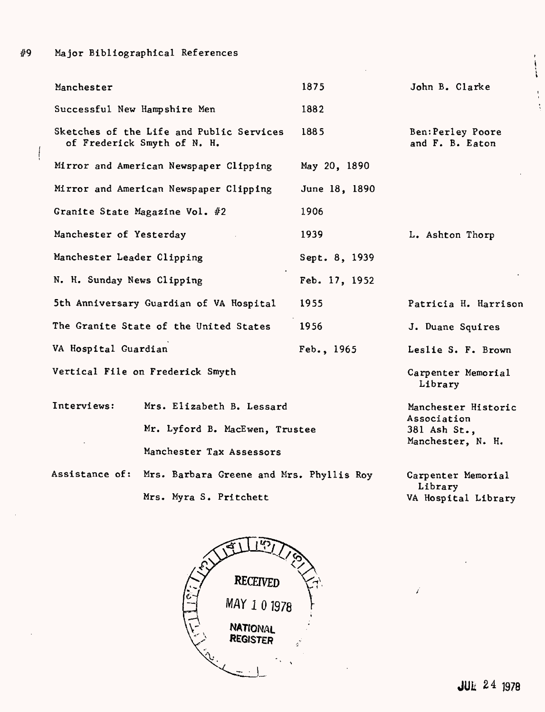#9

 $\overline{\phantom{a}}$ 

| Manchester                                                              | 1875          | John B. Clarke                       |
|-------------------------------------------------------------------------|---------------|--------------------------------------|
| Successful New Hampshire Men                                            | 1882          |                                      |
| Sketches of the Life and Public Services<br>of Frederick Smyth of N. H. | 1885          | Ben: Perley Poore<br>and F. B. Eaton |
| Mirror and American Newspaper Clipping                                  | May 20, 1890  |                                      |
| Mirror and American Newspaper Clipping                                  | June 18, 1890 |                                      |
| Granite State Magazine Vol. #2                                          | 1906          |                                      |
| Manchester of Yesterday                                                 | 1939          | L. Ashton Thorp                      |
| Manchester Leader Clipping                                              | Sept. 8, 1939 |                                      |
| N. H. Sunday News Clipping                                              | Feb. 17, 1952 |                                      |
| 5th Anniversary Guardian of VA Hospital                                 | 1955          | Patricia H. Harrison                 |
| The Granite State of the United States                                  | 1956          | J. Duane Squires                     |
| VA Hospital Guardian                                                    | Feb., 1965    | Leslie S. F. Brown                   |
| Vertical File on Frederick Smyth                                        |               | Carpenter Memorial<br>Library        |

| Interviews: | Mrs. Elizabeth B. Lessard                               | Manchester Historic<br>Association |
|-------------|---------------------------------------------------------|------------------------------------|
|             | Mr. Lyford B. MacEwen, Trustee                          | 381 Ash St.,                       |
|             | Manchester Tax Assessors                                | Manchester, N. H.                  |
|             | Assistance of: Mrs. Barbara Greene and Mrs. Phyllis Roy | Carpenter Memorial<br>Library      |

Mrs. Myra S. Pritchett

Memorial Library

 $\overline{\mathbf{r}}$ 

 $\frac{1}{4}$ À

VA Hospital Library

 $\vec{r}$ 

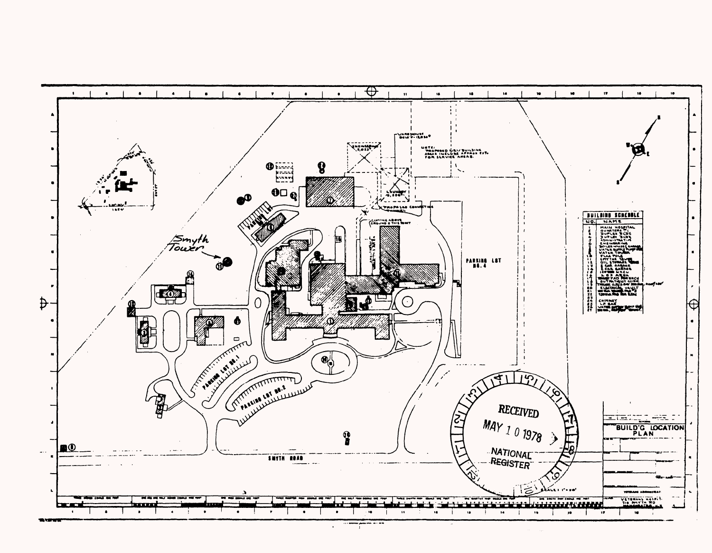

 $\ddot{\phantom{a}}$